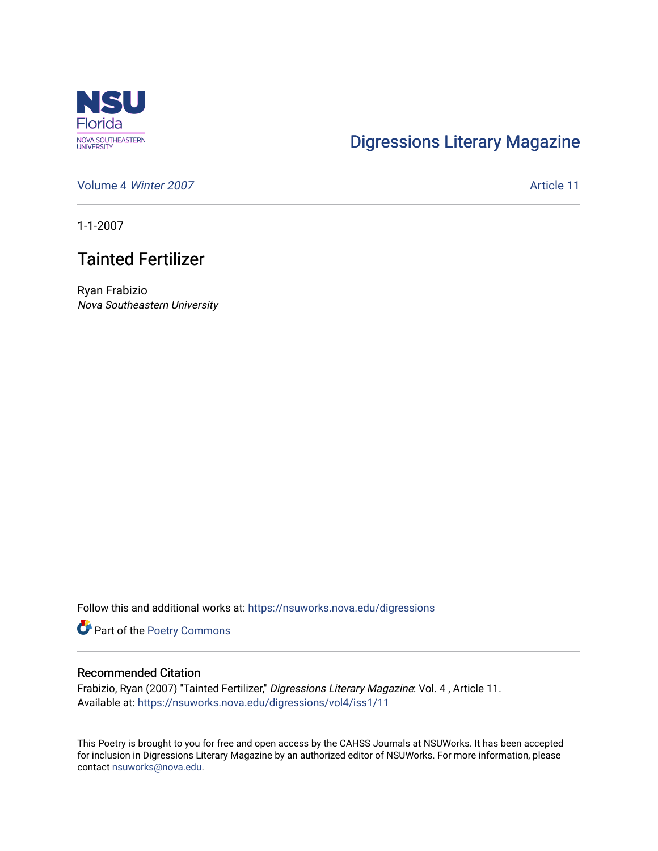

## [Digressions Literary Magazine](https://nsuworks.nova.edu/digressions)

[Volume 4](https://nsuworks.nova.edu/digressions/vol4) Winter 2007 **Article 11** 

1-1-2007

## Tainted Fertilizer

Ryan Frabizio Nova Southeastern University

Follow this and additional works at: [https://nsuworks.nova.edu/digressions](https://nsuworks.nova.edu/digressions?utm_source=nsuworks.nova.edu%2Fdigressions%2Fvol4%2Fiss1%2F11&utm_medium=PDF&utm_campaign=PDFCoverPages) 

Part of the [Poetry Commons](http://network.bepress.com/hgg/discipline/1153?utm_source=nsuworks.nova.edu%2Fdigressions%2Fvol4%2Fiss1%2F11&utm_medium=PDF&utm_campaign=PDFCoverPages) 

## Recommended Citation

Frabizio, Ryan (2007) "Tainted Fertilizer," Digressions Literary Magazine: Vol. 4 , Article 11. Available at: [https://nsuworks.nova.edu/digressions/vol4/iss1/11](https://nsuworks.nova.edu/digressions/vol4/iss1/11?utm_source=nsuworks.nova.edu%2Fdigressions%2Fvol4%2Fiss1%2F11&utm_medium=PDF&utm_campaign=PDFCoverPages) 

This Poetry is brought to you for free and open access by the CAHSS Journals at NSUWorks. It has been accepted for inclusion in Digressions Literary Magazine by an authorized editor of NSUWorks. For more information, please contact [nsuworks@nova.edu.](mailto:nsuworks@nova.edu)